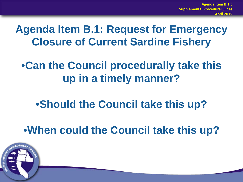### **Agenda Item B.1: Request for Emergency Closure of Current Sardine Fishery**

### •**Can the Council procedurally take this up in a timely manner?**

### •**Should the Council take this up?**

•**When could the Council take this up?**

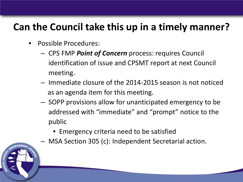#### **Can the Council take this up in a timely manner?**

- Possible Procedures:
	- CPS FMP *Point of Concern* process: requires Council identification of issue and CPSMT report at next Council meeting.
	- Immediate closure of the 2014-2015 season is not noticed as an agenda item for this meeting.
	- SOPP provisions allow for unanticipated emergency to be addressed with "immediate" and "prompt" notice to the public
		- Emergency criteria need to be satisfied
	- MSA Section 305 (c): Independent Secretarial action.

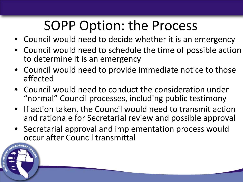# SOPP Option: the Process

- Council would need to decide whether it is an emergency
- Council would need to schedule the time of possible action to determine it is an emergency
- Council would need to provide immediate notice to those affected
- Council would need to conduct the consideration under "normal" Council processes, including public testimony
- If action taken, the Council would need to transmit action and rationale for Secretarial review and possible approval
- Secretarial approval and implementation process would occur after Council transmittal

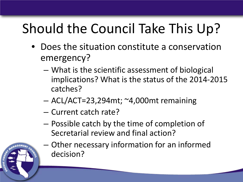## Should the Council Take This Up?

- Does the situation constitute a conservation emergency?
	- What is the scientific assessment of biological implications? What is the status of the 2014-2015 catches?
	- $-$  ACL/ACT=23,294mt;  $\sim$ 4,000mt remaining
	- Current catch rate?
	- Possible catch by the time of completion of Secretarial review and final action?
	- Other necessary information for an informed decision?